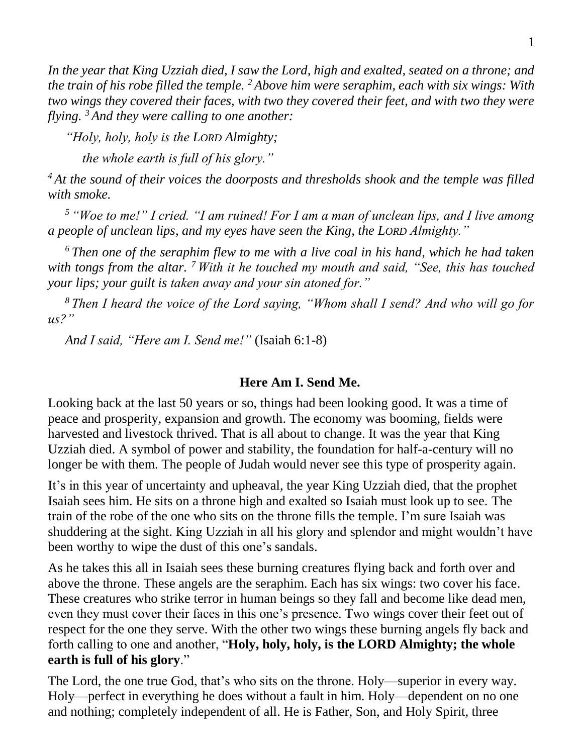*In the year that King Uzziah died, I saw the Lord, high and exalted, seated on a throne; and the train of his robe filled the temple. <sup>2</sup> Above him were seraphim, each with six wings: With two wings they covered their faces, with two they covered their feet, and with two they were flying. <sup>3</sup> And they were calling to one another:* 

*"Holy, holy, holy is the LORD Almighty;* 

*the whole earth is full of his glory."* 

*<sup>4</sup> At the sound of their voices the doorposts and thresholds shook and the temple was filled with smoke.* 

*<sup>5</sup> "Woe to me!" I cried. "I am ruined! For I am a man of unclean lips, and I live among a people of unclean lips, and my eyes have seen the King, the LORD Almighty."* 

*<sup>6</sup> Then one of the seraphim flew to me with a live coal in his hand, which he had taken with tongs from the altar. <sup>7</sup> With it he touched my mouth and said, "See, this has touched your lips; your guilt is taken away and your sin atoned for."* 

*<sup>8</sup> Then I heard the voice of the Lord saying, "Whom shall I send? And who will go for us?"* 

*And I said, "Here am I. Send me!"* (Isaiah 6:1-8)

## **Here Am I. Send Me.**

Looking back at the last 50 years or so, things had been looking good. It was a time of peace and prosperity, expansion and growth. The economy was booming, fields were harvested and livestock thrived. That is all about to change. It was the year that King Uzziah died. A symbol of power and stability, the foundation for half-a-century will no longer be with them. The people of Judah would never see this type of prosperity again.

It's in this year of uncertainty and upheaval, the year King Uzziah died, that the prophet Isaiah sees him. He sits on a throne high and exalted so Isaiah must look up to see. The train of the robe of the one who sits on the throne fills the temple. I'm sure Isaiah was shuddering at the sight. King Uzziah in all his glory and splendor and might wouldn't have been worthy to wipe the dust of this one's sandals.

As he takes this all in Isaiah sees these burning creatures flying back and forth over and above the throne. These angels are the seraphim. Each has six wings: two cover his face. These creatures who strike terror in human beings so they fall and become like dead men, even they must cover their faces in this one's presence. Two wings cover their feet out of respect for the one they serve. With the other two wings these burning angels fly back and forth calling to one and another, "**Holy, holy, holy, is the LORD Almighty; the whole earth is full of his glory**."

The Lord, the one true God, that's who sits on the throne. Holy—superior in every way. Holy—perfect in everything he does without a fault in him. Holy—dependent on no one and nothing; completely independent of all. He is Father, Son, and Holy Spirit, three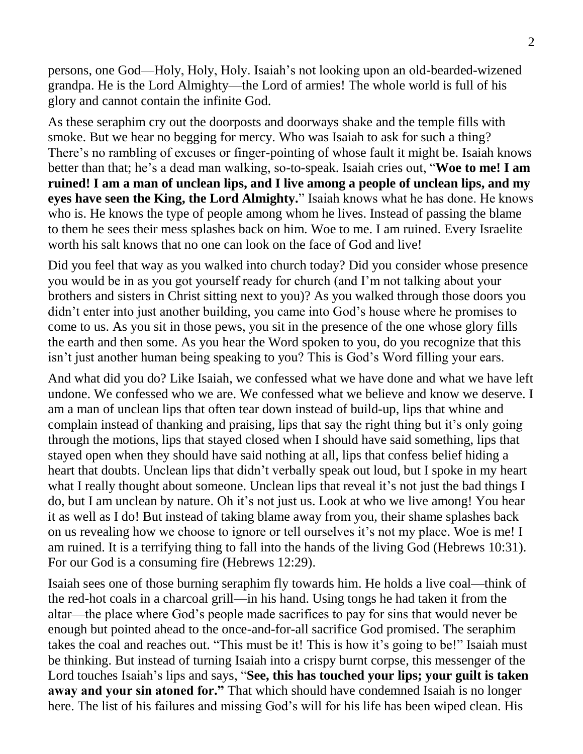persons, one God—Holy, Holy, Holy. Isaiah's not looking upon an old-bearded-wizened grandpa. He is the Lord Almighty—the Lord of armies! The whole world is full of his glory and cannot contain the infinite God.

As these seraphim cry out the doorposts and doorways shake and the temple fills with smoke. But we hear no begging for mercy. Who was Isaiah to ask for such a thing? There's no rambling of excuses or finger-pointing of whose fault it might be. Isaiah knows better than that; he's a dead man walking, so-to-speak. Isaiah cries out, "**Woe to me! I am ruined! I am a man of unclean lips, and I live among a people of unclean lips, and my eyes have seen the King, the Lord Almighty.**" Isaiah knows what he has done. He knows who is. He knows the type of people among whom he lives. Instead of passing the blame to them he sees their mess splashes back on him. Woe to me. I am ruined. Every Israelite worth his salt knows that no one can look on the face of God and live!

Did you feel that way as you walked into church today? Did you consider whose presence you would be in as you got yourself ready for church (and I'm not talking about your brothers and sisters in Christ sitting next to you)? As you walked through those doors you didn't enter into just another building, you came into God's house where he promises to come to us. As you sit in those pews, you sit in the presence of the one whose glory fills the earth and then some. As you hear the Word spoken to you, do you recognize that this isn't just another human being speaking to you? This is God's Word filling your ears.

And what did you do? Like Isaiah, we confessed what we have done and what we have left undone. We confessed who we are. We confessed what we believe and know we deserve. I am a man of unclean lips that often tear down instead of build-up, lips that whine and complain instead of thanking and praising, lips that say the right thing but it's only going through the motions, lips that stayed closed when I should have said something, lips that stayed open when they should have said nothing at all, lips that confess belief hiding a heart that doubts. Unclean lips that didn't verbally speak out loud, but I spoke in my heart what I really thought about someone. Unclean lips that reveal it's not just the bad things I do, but I am unclean by nature. Oh it's not just us. Look at who we live among! You hear it as well as I do! But instead of taking blame away from you, their shame splashes back on us revealing how we choose to ignore or tell ourselves it's not my place. Woe is me! I am ruined. It is a terrifying thing to fall into the hands of the living God (Hebrews 10:31). For our God is a consuming fire (Hebrews 12:29).

Isaiah sees one of those burning seraphim fly towards him. He holds a live coal—think of the red-hot coals in a charcoal grill—in his hand. Using tongs he had taken it from the altar—the place where God's people made sacrifices to pay for sins that would never be enough but pointed ahead to the once-and-for-all sacrifice God promised. The seraphim takes the coal and reaches out. "This must be it! This is how it's going to be!" Isaiah must be thinking. But instead of turning Isaiah into a crispy burnt corpse, this messenger of the Lord touches Isaiah's lips and says, "**See, this has touched your lips; your guilt is taken away and your sin atoned for."** That which should have condemned Isaiah is no longer here. The list of his failures and missing God's will for his life has been wiped clean. His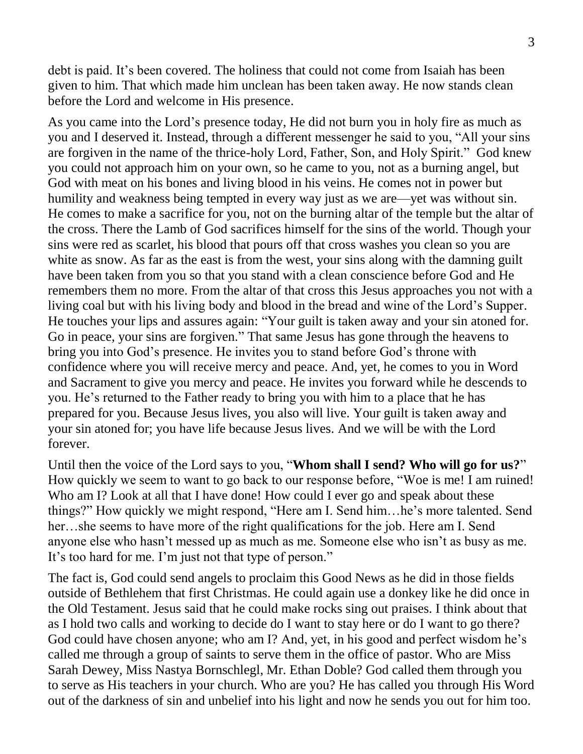debt is paid. It's been covered. The holiness that could not come from Isaiah has been given to him. That which made him unclean has been taken away. He now stands clean before the Lord and welcome in His presence.

As you came into the Lord's presence today, He did not burn you in holy fire as much as you and I deserved it. Instead, through a different messenger he said to you, "All your sins are forgiven in the name of the thrice-holy Lord, Father, Son, and Holy Spirit." God knew you could not approach him on your own, so he came to you, not as a burning angel, but God with meat on his bones and living blood in his veins. He comes not in power but humility and weakness being tempted in every way just as we are—yet was without sin. He comes to make a sacrifice for you, not on the burning altar of the temple but the altar of the cross. There the Lamb of God sacrifices himself for the sins of the world. Though your sins were red as scarlet, his blood that pours off that cross washes you clean so you are white as snow. As far as the east is from the west, your sins along with the damning guilt have been taken from you so that you stand with a clean conscience before God and He remembers them no more. From the altar of that cross this Jesus approaches you not with a living coal but with his living body and blood in the bread and wine of the Lord's Supper. He touches your lips and assures again: "Your guilt is taken away and your sin atoned for. Go in peace, your sins are forgiven." That same Jesus has gone through the heavens to bring you into God's presence. He invites you to stand before God's throne with confidence where you will receive mercy and peace. And, yet, he comes to you in Word and Sacrament to give you mercy and peace. He invites you forward while he descends to you. He's returned to the Father ready to bring you with him to a place that he has prepared for you. Because Jesus lives, you also will live. Your guilt is taken away and your sin atoned for; you have life because Jesus lives. And we will be with the Lord forever.

Until then the voice of the Lord says to you, "**Whom shall I send? Who will go for us?**" How quickly we seem to want to go back to our response before, "Woe is me! I am ruined! Who am I? Look at all that I have done! How could I ever go and speak about these things?" How quickly we might respond, "Here am I. Send him…he's more talented. Send her…she seems to have more of the right qualifications for the job. Here am I. Send anyone else who hasn't messed up as much as me. Someone else who isn't as busy as me. It's too hard for me. I'm just not that type of person."

The fact is, God could send angels to proclaim this Good News as he did in those fields outside of Bethlehem that first Christmas. He could again use a donkey like he did once in the Old Testament. Jesus said that he could make rocks sing out praises. I think about that as I hold two calls and working to decide do I want to stay here or do I want to go there? God could have chosen anyone; who am I? And, yet, in his good and perfect wisdom he's called me through a group of saints to serve them in the office of pastor. Who are Miss Sarah Dewey, Miss Nastya Bornschlegl, Mr. Ethan Doble? God called them through you to serve as His teachers in your church. Who are you? He has called you through His Word out of the darkness of sin and unbelief into his light and now he sends you out for him too.